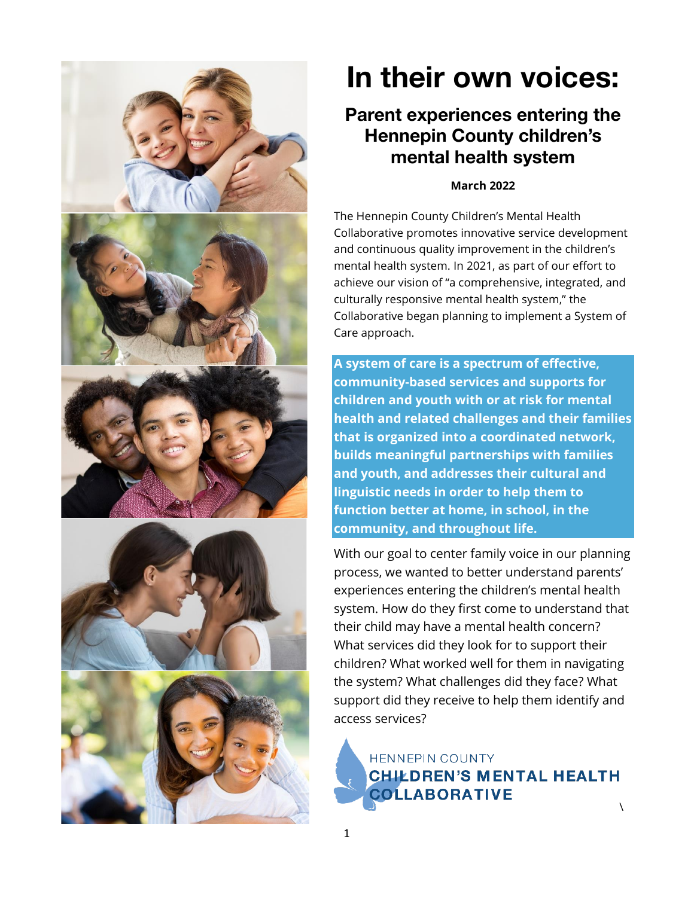

# In their own voices:

## Parent experiences entering the Hennepin County children's mental health system

#### **March 2022**

The Hennepin County Children's Mental Health Collaborative promotes innovative service development and continuous quality improvement in the children's mental health system. In 2021, as part of our effort to achieve our vision of "a comprehensive, integrated, and culturally responsive mental health system," the Collaborative began planning to implement a System of Care approach.

**A system of care is a spectrum of effective, community-based services and supports for children and youth with or at risk for mental health and related challenges and their families that is organized into a coordinated network, builds meaningful partnerships with families and youth, and addresses their cultural and linguistic needs in order to help them to function better at home, in school, in the community, and throughout life.**

With our goal to center family voice in our planning process, we wanted to better understand parents' experiences entering the children's mental health system. How do they first come to understand that their child may have a mental health concern? What services did they look for to support their children? What worked well for them in navigating the system? What challenges did they face? What support did they receive to help them identify and access services?

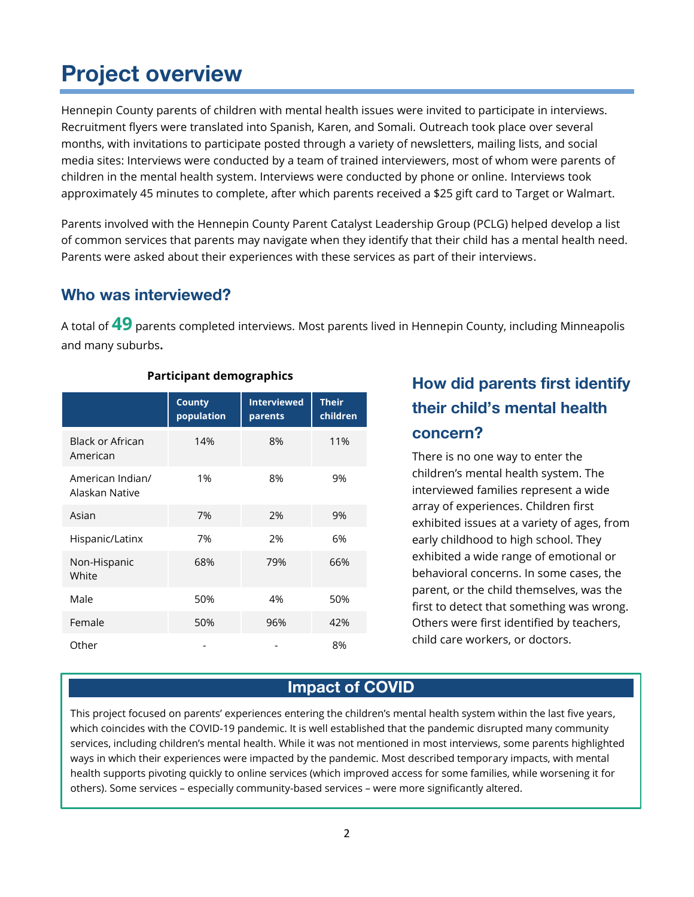# Project overview

Hennepin County parents of children with mental health issues were invited to participate in interviews. Recruitment flyers were translated into Spanish, Karen, and Somali. Outreach took place over several months, with invitations to participate posted through a variety of newsletters, mailing lists, and social media sites: Interviews were conducted by a team of trained interviewers, most of whom were parents of children in the mental health system. Interviews were conducted by phone or online. Interviews took approximately 45 minutes to complete, after which parents received a \$25 gift card to Target or Walmart.

Parents involved with the Hennepin County Parent Catalyst Leadership Group (PCLG) helped develop a list of common services that parents may navigate when they identify that their child has a mental health need. Parents were asked about their experiences with these services as part of their interviews.

#### Who was interviewed?

A total of **49** parents completed interviews. Most parents lived in Hennepin County, including Minneapolis and many suburbs**.**

|                                     | <b>County</b><br>population | <b>Interviewed</b><br>parents | <b>Their</b><br>children |
|-------------------------------------|-----------------------------|-------------------------------|--------------------------|
| <b>Black or African</b><br>American | 14%                         | 8%                            | 11%                      |
| American Indian/<br>Alaskan Native  | 1%                          | 8%                            | 9%                       |
| Asian                               | 7%                          | 2%                            | 9%                       |
| Hispanic/Latinx                     | 7%                          | 2%                            | 6%                       |
| Non-Hispanic<br>White               | 68%                         | 79%                           | 66%                      |
| Male                                | 50%                         | 4%                            | 50%                      |
| Female                              | 50%                         | 96%                           | 42%                      |
| Other                               |                             |                               | 8%                       |

#### **Participant demographics**

## How did parents first identify their child's mental health concern?

There is no one way to enter the children's mental health system. The interviewed families represent a wide array of experiences. Children first exhibited issues at a variety of ages, from early childhood to high school. They exhibited a wide range of emotional or behavioral concerns. In some cases, the parent, or the child themselves, was the first to detect that something was wrong. Others were first identified by teachers, child care workers, or doctors.

### Impact of COVID

This project focused on parents' experiences entering the children's mental health system within the last five years, which coincides with the COVID-19 pandemic. It is well established that the pandemic disrupted many community services, including children's mental health. While it was not mentioned in most interviews, some parents highlighted ways in which their experiences were impacted by the pandemic. Most described temporary impacts, with mental health supports pivoting quickly to online services (which improved access for some families, while worsening it for others). Some services – especially community-based services – were more significantly altered.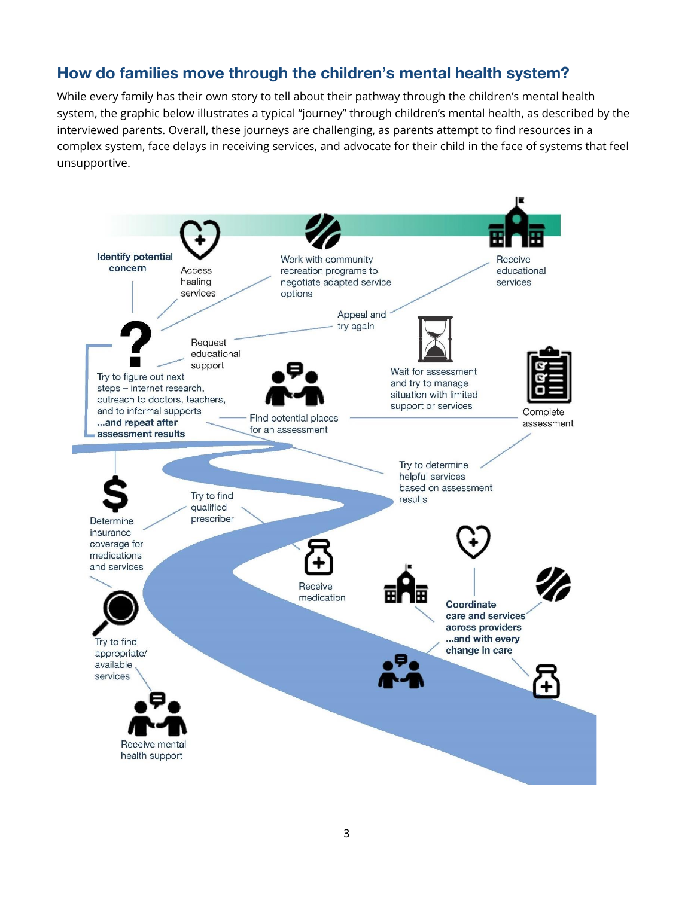#### How do families move through the children's mental health system?

While every family has their own story to tell about their pathway through the children's mental health system, the graphic below illustrates a typical "journey" through children's mental health, as described by the interviewed parents. Overall, these journeys are challenging, as parents attempt to find resources in a complex system, face delays in receiving services, and advocate for their child in the face of systems that feel unsupportive.

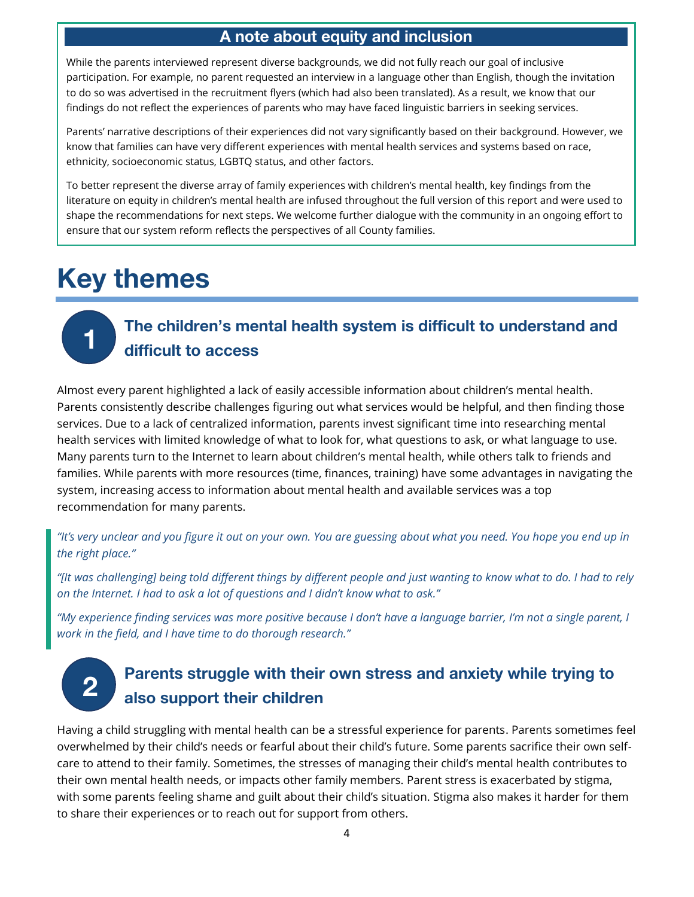#### A note about equity and inclusion

While the parents interviewed represent diverse backgrounds, we did not fully reach our goal of inclusive participation. For example, no parent requested an interview in a language other than English, though the invitation to do so was advertised in the recruitment flyers (which had also been translated). As a result, we know that our findings do not reflect the experiences of parents who may have faced linguistic barriers in seeking services.

Parents' narrative descriptions of their experiences did not vary significantly based on their background. However, we know that families can have very different experiences with mental health services and systems based on race, ethnicity, socioeconomic status, LGBTQ status, and other factors.

To better represent the diverse array of family experiences with children's mental health, key findings from the literature on equity in children's mental health are infused throughout the full version of this report and were used to shape the recommendations for next steps. We welcome further dialogue with the community in an ongoing effort to ensure that our system reform reflects the perspectives of all County families.

# Key themes

1

# The children's mental health system is difficult to understand and difficult to access

Almost every parent highlighted a lack of easily accessible information about children's mental health. Parents consistently describe challenges figuring out what services would be helpful, and then finding those services. Due to a lack of centralized information, parents invest significant time into researching mental health services with limited knowledge of what to look for, what questions to ask, or what language to use. Many parents turn to the Internet to learn about children's mental health, while others talk to friends and families. While parents with more resources (time, finances, training) have some advantages in navigating the system, increasing access to information about mental health and available services was a top recommendation for many parents.

*"It's very unclear and you figure it out on your own. You are guessing about what you need. You hope you end up in the right place."*

*"[It was challenging] being told different things by different people and just wanting to know what to do. I had to rely on the Internet. I had to ask a lot of questions and I didn't know what to ask."*

*"My experience finding services was more positive because I don't have a language barrier, I'm not a single parent, I work in the field, and I have time to do thorough research."*

# 2

## Parents struggle with their own stress and anxiety while trying to also support their children

Having a child struggling with mental health can be a stressful experience for parents. Parents sometimes feel overwhelmed by their child's needs or fearful about their child's future. Some parents sacrifice their own selfcare to attend to their family. Sometimes, the stresses of managing their child's mental health contributes to their own mental health needs, or impacts other family members. Parent stress is exacerbated by stigma, with some parents feeling shame and guilt about their child's situation. Stigma also makes it harder for them to share their experiences or to reach out for support from others.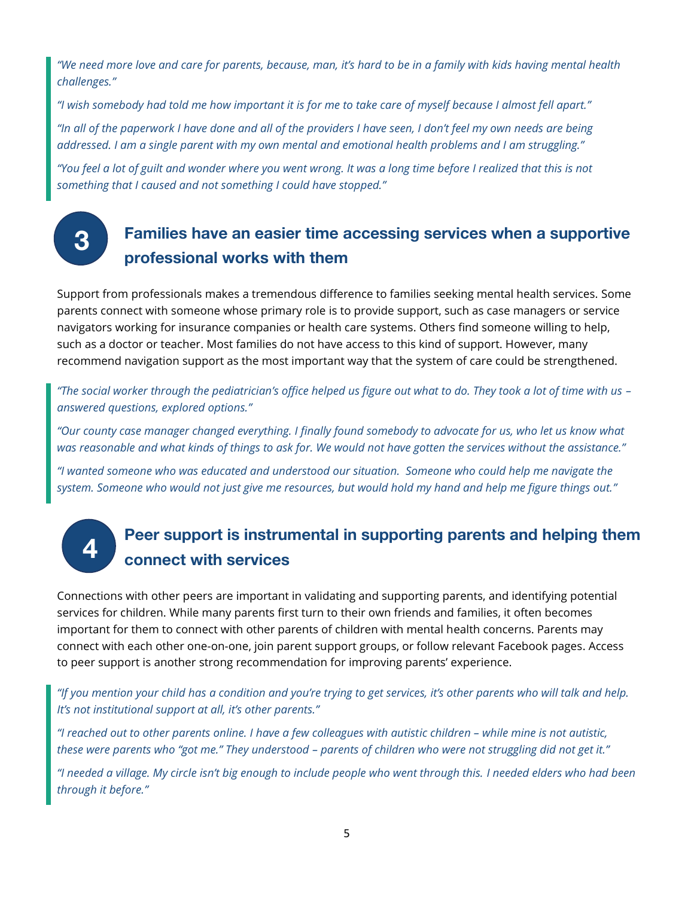*"We need more love and care for parents, because, man, it's hard to be in a family with kids having mental health challenges."*

*"I wish somebody had told me how important it is for me to take care of myself because I almost fell apart." "In all of the paperwork I have done and all of the providers I have seen, I don't feel my own needs are being addressed. I am a single parent with my own mental and emotional health problems and I am struggling."*

*"You feel a lot of guilt and wonder where you went wrong. It was a long time before I realized that this is not something that I caused and not something I could have stopped."*

3

4

## Families have an easier time accessing services when a supportive professional works with them

Support from professionals makes a tremendous difference to families seeking mental health services. Some parents connect with someone whose primary role is to provide support, such as case managers or service navigators working for insurance companies or health care systems. Others find someone willing to help, such as a doctor or teacher. Most families do not have access to this kind of support. However, many recommend navigation support as the most important way that the system of care could be strengthened.

*"The social worker through the pediatrician's office helped us figure out what to do. They took a lot of time with us – answered questions, explored options."*

*"Our county case manager changed everything. I finally found somebody to advocate for us, who let us know what was reasonable and what kinds of things to ask for. We would not have gotten the services without the assistance."*

*"I wanted someone who was educated and understood our situation. Someone who could help me navigate the system. Someone who would not just give me resources, but would hold my hand and help me figure things out."*

## Peer support is instrumental in supporting parents and helping them connect with services

Connections with other peers are important in validating and supporting parents, and identifying potential services for children. While many parents first turn to their own friends and families, it often becomes important for them to connect with other parents of children with mental health concerns. Parents may connect with each other one-on-one, join parent support groups, or follow relevant Facebook pages. Access to peer support is another strong recommendation for improving parents' experience.

*"If you mention your child has a condition and you're trying to get services, it's other parents who will talk and help. It's not institutional support at all, it's other parents."*

*"I reached out to other parents online. I have a few colleagues with autistic children – while mine is not autistic, these were parents who "got me." They understood – parents of children who were not struggling did not get it."*

*"I needed a village. My circle isn't big enough to include people who went through this. I needed elders who had been through it before."*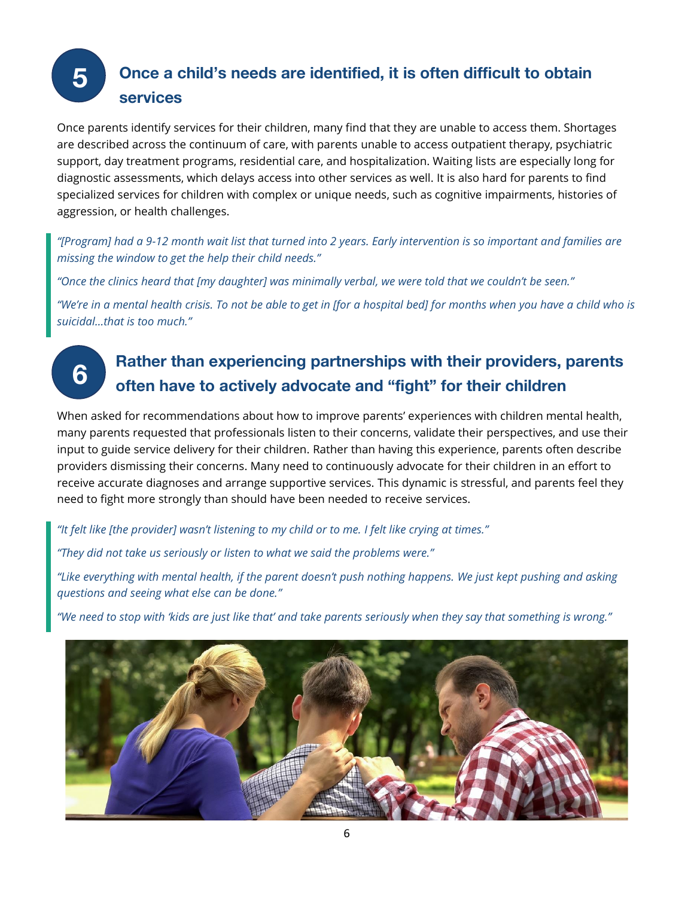#### Once a child's needs are identified, it is often difficult to obtain services 5

Once parents identify services for their children, many find that they are unable to access them. Shortages are described across the continuum of care, with parents unable to access outpatient therapy, psychiatric support, day treatment programs, residential care, and hospitalization. Waiting lists are especially long for diagnostic assessments, which delays access into other services as well. It is also hard for parents to find specialized services for children with complex or unique needs, such as cognitive impairments, histories of aggression, or health challenges.

*"[Program] had a 9-12 month wait list that turned into 2 years. Early intervention is so important and families are missing the window to get the help their child needs."*

*"Once the clinics heard that [my daughter] was minimally verbal, we were told that we couldn't be seen."*

*"We're in a mental health crisis. To not be able to get in [for a hospital bed] for months when you have a child who is suicidal…that is too much."*

# Rather than experiencing partnerships with their providers, parents often have to actively advocate and "fight" for their children

When asked for recommendations about how to improve parents' experiences with children mental health, many parents requested that professionals listen to their concerns, validate their perspectives, and use their input to guide service delivery for their children. Rather than having this experience, parents often describe providers dismissing their concerns. Many need to continuously advocate for their children in an effort to receive accurate diagnoses and arrange supportive services. This dynamic is stressful, and parents feel they need to fight more strongly than should have been needed to receive services.

*"It felt like [the provider] wasn't listening to my child or to me. I felt like crying at times."*

*"They did not take us seriously or listen to what we said the problems were."*

6

*"Like everything with mental health, if the parent doesn't push nothing happens. We just kept pushing and asking questions and seeing what else can be done."*

*"We need to stop with 'kids are just like that' and take parents seriously when they say that something is wrong."*

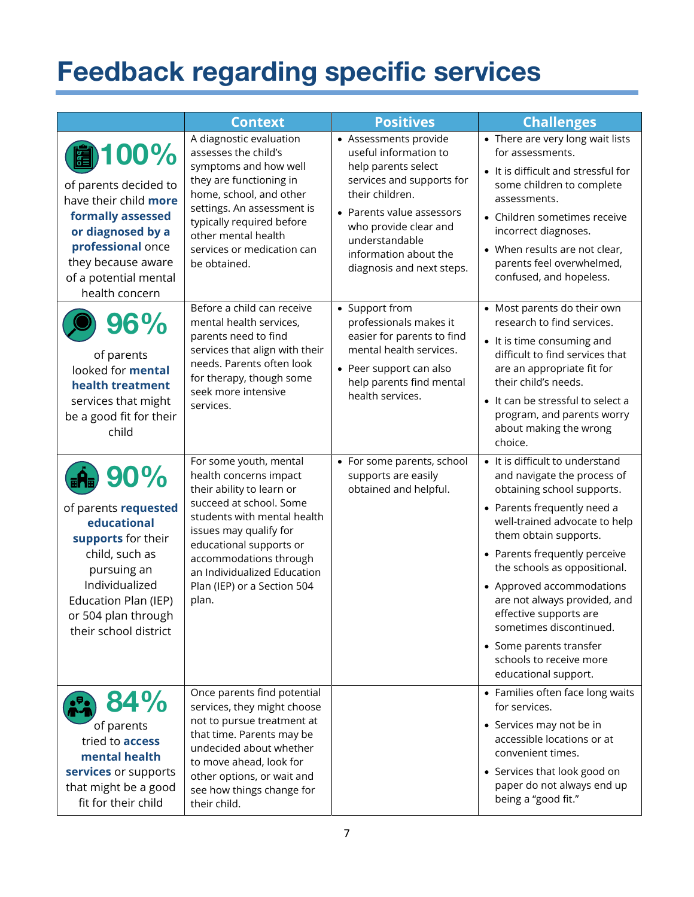# Feedback regarding specific services

|                                                                                                                                                                                                                  | <b>Context</b>                                                                                                                                                                                                                                                                                | <b>Positives</b>                                                                                                                                                                                                                                    | <b>Challenges</b>                                                                                                                                                                                                                                                                                                                                                                                                                                      |
|------------------------------------------------------------------------------------------------------------------------------------------------------------------------------------------------------------------|-----------------------------------------------------------------------------------------------------------------------------------------------------------------------------------------------------------------------------------------------------------------------------------------------|-----------------------------------------------------------------------------------------------------------------------------------------------------------------------------------------------------------------------------------------------------|--------------------------------------------------------------------------------------------------------------------------------------------------------------------------------------------------------------------------------------------------------------------------------------------------------------------------------------------------------------------------------------------------------------------------------------------------------|
| 100%<br>of parents decided to<br>have their child more<br>formally assessed<br>or diagnosed by a<br>professional once<br>they because aware<br>of a potential mental<br>health concern                           | A diagnostic evaluation<br>assesses the child's<br>symptoms and how well<br>they are functioning in<br>home, school, and other<br>settings. An assessment is<br>typically required before<br>other mental health<br>services or medication can<br>be obtained.                                | • Assessments provide<br>useful information to<br>help parents select<br>services and supports for<br>their children.<br>• Parents value assessors<br>who provide clear and<br>understandable<br>information about the<br>diagnosis and next steps. | • There are very long wait lists<br>for assessments.<br>• It is difficult and stressful for<br>some children to complete<br>assessments.<br>• Children sometimes receive<br>incorrect diagnoses.<br>• When results are not clear,<br>parents feel overwhelmed,<br>confused, and hopeless.                                                                                                                                                              |
| 96%<br>of parents<br>looked for <b>mental</b><br>health treatment<br>services that might<br>be a good fit for their<br>child                                                                                     | Before a child can receive<br>mental health services,<br>parents need to find<br>services that align with their<br>needs. Parents often look<br>for therapy, though some<br>seek more intensive<br>services.                                                                                  | • Support from<br>professionals makes it<br>easier for parents to find<br>mental health services.<br>• Peer support can also<br>help parents find mental<br>health services.                                                                        | • Most parents do their own<br>research to find services.<br>• It is time consuming and<br>difficult to find services that<br>are an appropriate fit for<br>their child's needs.<br>• It can be stressful to select a<br>program, and parents worry<br>about making the wrong<br>choice.                                                                                                                                                               |
| $\frac{1}{2}$ 90%<br>of parents requested<br>educational<br>supports for their<br>child, such as<br>pursuing an<br>Individualized<br><b>Education Plan (IEP)</b><br>or 504 plan through<br>their school district | For some youth, mental<br>health concerns impact<br>their ability to learn or<br>succeed at school. Some<br>students with mental health<br>issues may qualify for<br>educational supports or<br>accommodations through<br>an Individualized Education<br>Plan (IEP) or a Section 504<br>plan. | • For some parents, school<br>supports are easily<br>obtained and helpful.                                                                                                                                                                          | • It is difficult to understand<br>and navigate the process of<br>obtaining school supports.<br>• Parents frequently need a<br>well-trained advocate to help<br>them obtain supports.<br>• Parents frequently perceive<br>the schools as oppositional.<br>• Approved accommodations<br>are not always provided, and<br>effective supports are<br>sometimes discontinued.<br>• Some parents transfer<br>schools to receive more<br>educational support. |
| 84%<br>of parents<br>tried to <b>access</b><br>mental health<br>services or supports<br>that might be a good<br>fit for their child                                                                              | Once parents find potential<br>services, they might choose<br>not to pursue treatment at<br>that time. Parents may be<br>undecided about whether<br>to move ahead, look for<br>other options, or wait and<br>see how things change for<br>their child.                                        |                                                                                                                                                                                                                                                     | • Families often face long waits<br>for services.<br>• Services may not be in<br>accessible locations or at<br>convenient times.<br>• Services that look good on<br>paper do not always end up<br>being a "good fit."                                                                                                                                                                                                                                  |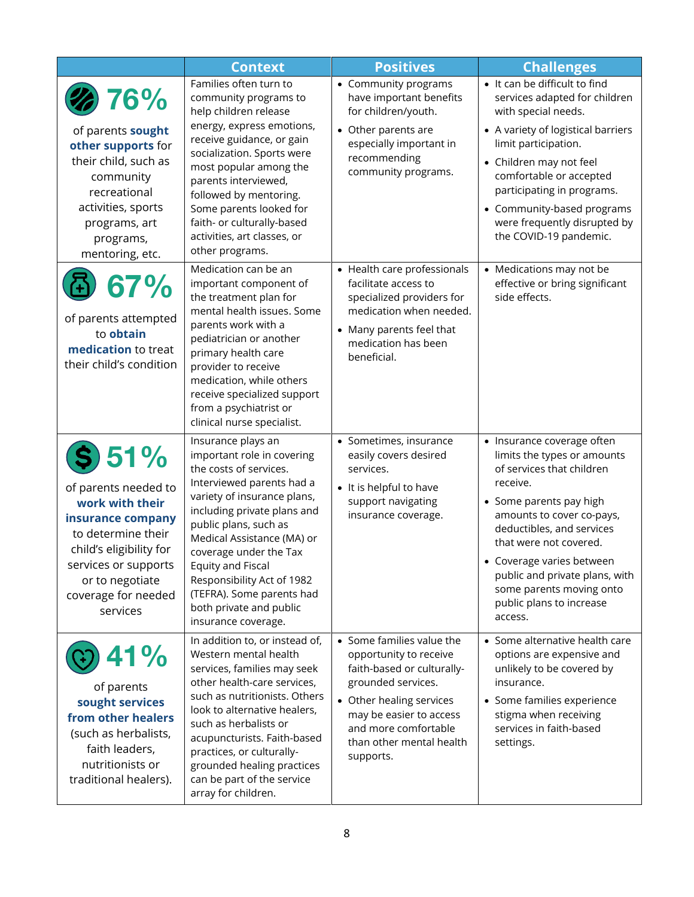|                                                                                                                                                                                                    | <b>Context</b>                                                                                                                                                                                                                                                                                                                                                                                  | <b>Positives</b>                                                                                                                                                                                                                | <b>Challenges</b>                                                                                                                                                                                                                                                                                                                                   |
|----------------------------------------------------------------------------------------------------------------------------------------------------------------------------------------------------|-------------------------------------------------------------------------------------------------------------------------------------------------------------------------------------------------------------------------------------------------------------------------------------------------------------------------------------------------------------------------------------------------|---------------------------------------------------------------------------------------------------------------------------------------------------------------------------------------------------------------------------------|-----------------------------------------------------------------------------------------------------------------------------------------------------------------------------------------------------------------------------------------------------------------------------------------------------------------------------------------------------|
| 76%<br>of parents sought<br>other supports for<br>their child, such as<br>community<br>recreational<br>activities, sports<br>programs, art<br>programs,<br>mentoring, etc.                         | Families often turn to<br>community programs to<br>help children release<br>energy, express emotions,<br>receive guidance, or gain<br>socialization. Sports were<br>most popular among the<br>parents interviewed,<br>followed by mentoring.<br>Some parents looked for<br>faith- or culturally-based<br>activities, art classes, or<br>other programs.                                         | • Community programs<br>have important benefits<br>for children/youth.<br>• Other parents are<br>especially important in<br>recommending<br>community programs.                                                                 | • It can be difficult to find<br>services adapted for children<br>with special needs.<br>• A variety of logistical barriers<br>limit participation.<br>• Children may not feel<br>comfortable or accepted<br>participating in programs.<br>• Community-based programs<br>were frequently disrupted by<br>the COVID-19 pandemic.                     |
| 67%<br>of parents attempted<br>to obtain<br>medication to treat<br>their child's condition                                                                                                         | Medication can be an<br>important component of<br>the treatment plan for<br>mental health issues. Some<br>parents work with a<br>pediatrician or another<br>primary health care<br>provider to receive<br>medication, while others<br>receive specialized support<br>from a psychiatrist or<br>clinical nurse specialist.                                                                       | • Health care professionals<br>facilitate access to<br>specialized providers for<br>medication when needed.<br>• Many parents feel that<br>medication has been<br>beneficial.                                                   | • Medications may not be<br>effective or bring significant<br>side effects.                                                                                                                                                                                                                                                                         |
| 51%<br>of parents needed to<br>work with their<br>insurance company<br>to determine their<br>child's eligibility for<br>services or supports<br>or to negotiate<br>coverage for needed<br>services | Insurance plays an<br>important role in covering<br>the costs of services.<br>Interviewed parents had a<br>variety of insurance plans,<br>including private plans and<br>public plans, such as<br>Medical Assistance (MA) or<br>coverage under the Tax<br><b>Equity and Fiscal</b><br>Responsibility Act of 1982<br>(TEFRA). Some parents had<br>both private and public<br>insurance coverage. | • Sometimes, insurance<br>easily covers desired<br>services.<br>• It is helpful to have<br>support navigating<br>insurance coverage.                                                                                            | • Insurance coverage often<br>limits the types or amounts<br>of services that children<br>receive.<br>• Some parents pay high<br>amounts to cover co-pays,<br>deductibles, and services<br>that were not covered.<br>• Coverage varies between<br>public and private plans, with<br>some parents moving onto<br>public plans to increase<br>access. |
| 41%<br>of parents<br>sought services<br>from other healers<br>(such as herbalists,<br>faith leaders,<br>nutritionists or<br>traditional healers).                                                  | In addition to, or instead of,<br>Western mental health<br>services, families may seek<br>other health-care services,<br>such as nutritionists. Others<br>look to alternative healers,<br>such as herbalists or<br>acupuncturists. Faith-based<br>practices, or culturally-<br>grounded healing practices<br>can be part of the service<br>array for children.                                  | • Some families value the<br>opportunity to receive<br>faith-based or culturally-<br>grounded services.<br>• Other healing services<br>may be easier to access<br>and more comfortable<br>than other mental health<br>supports. | • Some alternative health care<br>options are expensive and<br>unlikely to be covered by<br>insurance.<br>• Some families experience<br>stigma when receiving<br>services in faith-based<br>settings.                                                                                                                                               |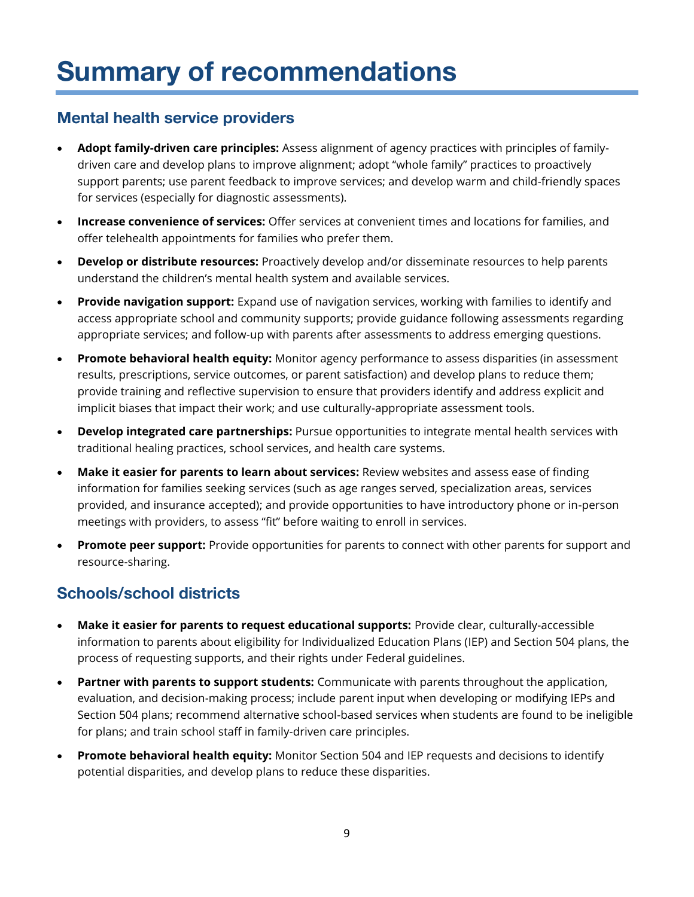# Summary of recommendations

#### Mental health service providers

- **Adopt family-driven care principles:** Assess alignment of agency practices with principles of familydriven care and develop plans to improve alignment; adopt "whole family" practices to proactively support parents; use parent feedback to improve services; and develop warm and child-friendly spaces for services (especially for diagnostic assessments).
- **Increase convenience of services:** Offer services at convenient times and locations for families, and offer telehealth appointments for families who prefer them.
- **Develop or distribute resources:** Proactively develop and/or disseminate resources to help parents understand the children's mental health system and available services.
- **Provide navigation support:** Expand use of navigation services, working with families to identify and access appropriate school and community supports; provide guidance following assessments regarding appropriate services; and follow-up with parents after assessments to address emerging questions.
- **Promote behavioral health equity:** Monitor agency performance to assess disparities (in assessment results, prescriptions, service outcomes, or parent satisfaction) and develop plans to reduce them; provide training and reflective supervision to ensure that providers identify and address explicit and implicit biases that impact their work; and use culturally-appropriate assessment tools.
- **Develop integrated care partnerships:** Pursue opportunities to integrate mental health services with traditional healing practices, school services, and health care systems.
- **Make it easier for parents to learn about services:** Review websites and assess ease of finding information for families seeking services (such as age ranges served, specialization areas, services provided, and insurance accepted); and provide opportunities to have introductory phone or in-person meetings with providers, to assess "fit" before waiting to enroll in services.
- **Promote peer support:** Provide opportunities for parents to connect with other parents for support and resource-sharing.

## Schools/school districts

- **Make it easier for parents to request educational supports:** Provide clear, culturally-accessible information to parents about eligibility for Individualized Education Plans (IEP) and Section 504 plans, the process of requesting supports, and their rights under Federal guidelines.
- **Partner with parents to support students:** Communicate with parents throughout the application, evaluation, and decision-making process; include parent input when developing or modifying IEPs and Section 504 plans; recommend alternative school-based services when students are found to be ineligible for plans; and train school staff in family-driven care principles.
- **Promote behavioral health equity:** Monitor Section 504 and IEP requests and decisions to identify potential disparities, and develop plans to reduce these disparities.